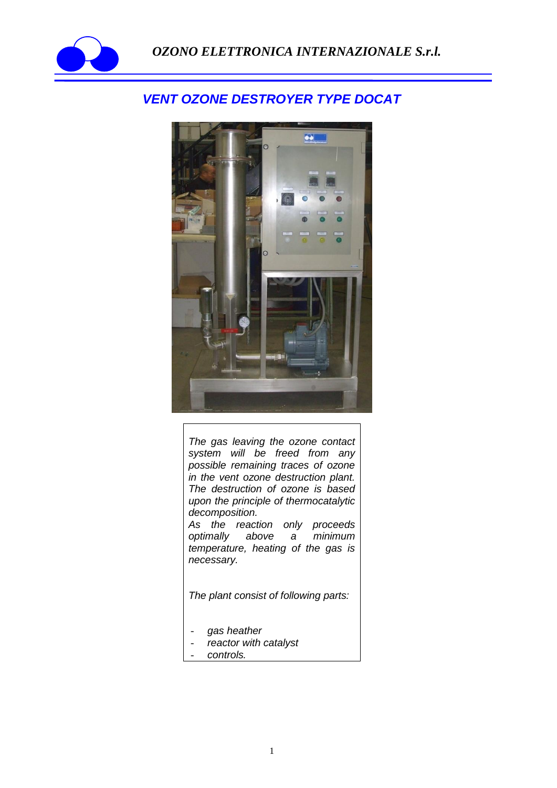

## *VENT OZONE DESTROYER TYPE DOCAT*



*The gas leaving the ozone contact system will be freed from any possible remaining traces of ozone in the vent ozone destruction plant. The destruction of ozone is based upon the principle of thermocatalytic decomposition.*

*As the reaction only proceeds optimally above a minimum temperature, heating of the gas is necessary.* 

*The plant consist of following parts:*

- *gas heather*
- *reactor with catalyst*
- *controls.*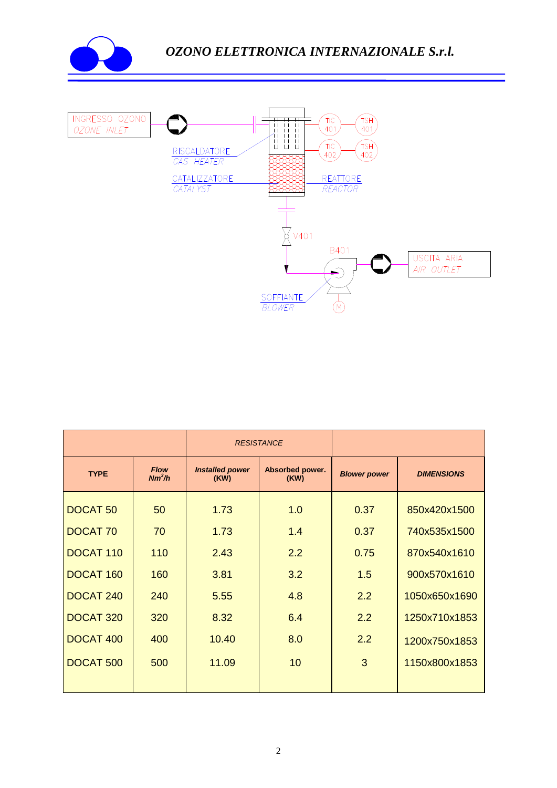



|                      |                         | <b>RESISTANCE</b>              |                         |                     |                   |
|----------------------|-------------------------|--------------------------------|-------------------------|---------------------|-------------------|
| <b>TYPE</b>          | <b>Flow</b><br>$Nm^3/h$ | <b>Installed power</b><br>(KW) | Absorbed power.<br>(KW) | <b>Blower power</b> | <b>DIMENSIONS</b> |
| <b>DOCAT 50</b>      | 50                      | 1.73                           | 1.0                     | 0.37                | 850x420x1500      |
| <b>DOCAT 70</b>      | 70                      | 1.73                           | 1.4                     | 0.37                | 740x535x1500      |
| DOCAT <sub>110</sub> | 110                     | 2.43                           | 2.2                     | 0.75                | 870x540x1610      |
| DOCAT <sub>160</sub> | 160                     | 3.81                           | 3.2                     | 1.5                 | 900x570x1610      |
| DOCAT <sub>240</sub> | 240                     | 5.55                           | 4.8                     | 2.2                 | 1050x650x1690     |
| DOCAT <sub>320</sub> | 320                     | 8.32                           | 6.4                     | 2.2                 | 1250x710x1853     |
| DOCAT 400            | 400                     | 10.40                          | 8.0                     | 2.2                 | 1200x750x1853     |
| DOCAT <sub>500</sub> | 500                     | 11.09                          | 10                      | 3                   | 1150x800x1853     |
|                      |                         |                                |                         |                     |                   |